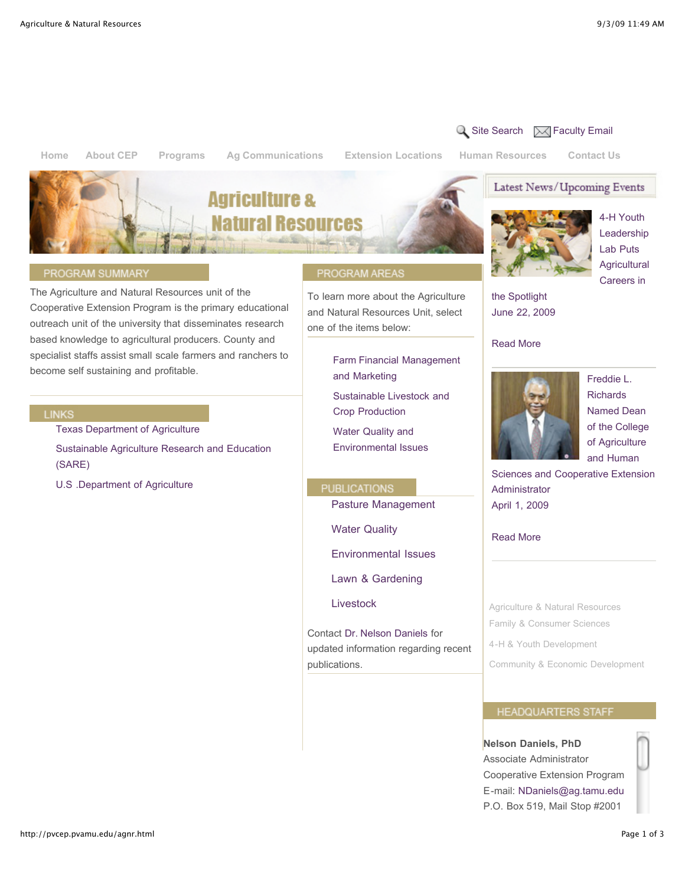**[Home](http://pvcep.pvamu.edu/index.html) About CEP Programs Ag Communications [Extension Locations](http://pvcep.pvamu.edu/map.html) Human Resources [Contact Us](http://pvcep.pvamu.edu/contact_us.html)**

Latest News/Upcoming Events



#### PROGRAM SUMMARY

The Agriculture and Natural Resources unit of the Cooperative Extension Program is the primary educational outreach unit of the university that disseminates research based knowledge to agricultural producers. County and specialist staffs assist small scale farmers and ranchers to become self sustaining and profitable.

#### **LINKS**

[Texas Department of Agriculture](http://www.agr.state.tx.us/) 

[Sustainable Agriculture Research and Education](http://www.sare.org/) (SARE)

[U.S .Department of Agriculture](http://www.usda.gov/)

#### PROGRAM AREAS

To learn more about the Agriculture and Natural Resources Unit, select one of the items below:

> [Farm Financial Management](http://pvcep.pvamu.edu/agnr_farm_it.html) and Marketing

[Sustainable Livestock and](http://pvcep.pvamu.edu/agnr_slcp.html) Crop Production

Water Quality and [Environmental Issues](http://pvcep.pvamu.edu/agnr_wqei.html)

**PUBLICATIONS** 

Pasture Management

Water Quality

Environmental Issues

Lawn & Gardening

Livestock

Contact [Dr. Nelson Daniels](mailto:NDaniels@ag.tamu.edu) for updated information regarding recent publications.



 $\overline{Q}$  [Site Search](http://pvcep.pvamu.edu/?q=search/node)  $\overline{Q}$  [Faculty Email](https://pvumail.pvamu.edu/exchange)

4-H Youth Leadership Lab Puts **Agricultural** Careers in

the Spotlight [June 22, 2009](http://pvcep.pvamu.edu/articles/article-22Jun2009.html) 

#### Read More



Freddie L. Richards Named Dean of the College of Agriculture and Human

[Sciences and Cooperative Extension](http://pvcep.pvamu.edu/articles/article-01Apr2009.html) Administrator April 1, 2009

Read More

[Agriculture & Natural Resources](http://pvcep.pvamu.edu/agnr.html) [Family & Consumer Sciences](http://pvcep.pvamu.edu/fcs.html)

[4-H & Youth Development](http://pvcep.pvamu.edu/4-h.html)

[Community & Economic Development](http://pvcep.pvamu.edu/comd.html)

## **HEADQUARTERS STAFF**

**Nelson Daniels, PhD** Associate Administrator Cooperative Extension Program E-mail: [NDaniels@ag.tamu.edu](mailto:NDaniels@ag.tamu.edu) P.O. Box 519, Mail Stop #2001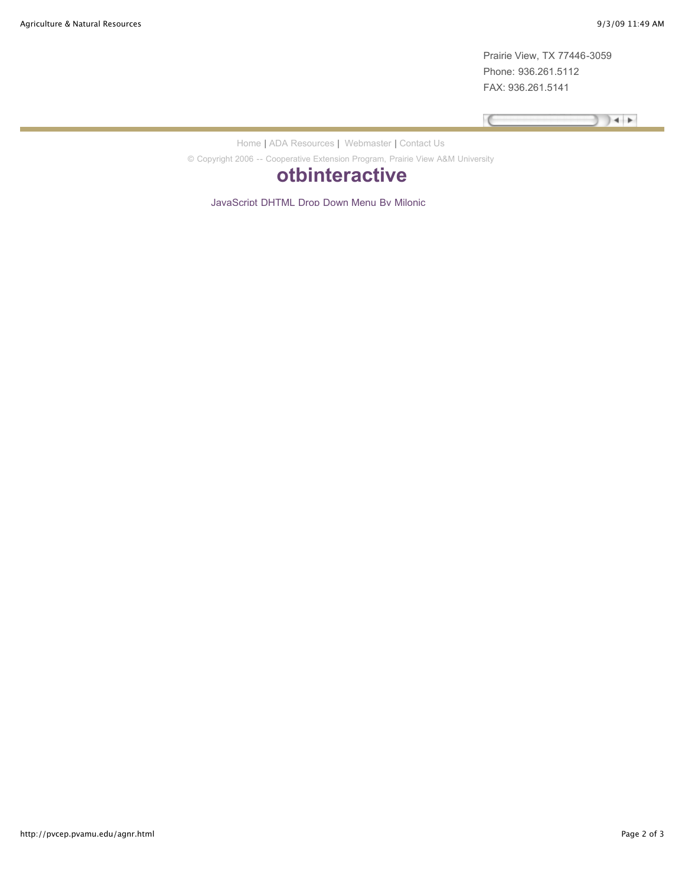Prairie View, TX 77446-3059 Phone: 936.261.5112 FAX: 936.261.5141

Program Specialist

**Billy Lawton, M.Ed.**  $+$ 

[Home](http://pvcep.pvamu.edu/) | [ADA Resources |](http://www.pvamu.edu/pages/276.asp) [Webmaster |](mailto:lssmith@pvamu.edu) [Contact Us](http://pvcep.pvamu.edu/contact_us.html)

Pressure  $\mathcal{P}$ © Copyright 2006 -- Cooperative Extension Program, Prairie View A&M University

# **[otbinteractive](http://www.otbinteractive.com/)**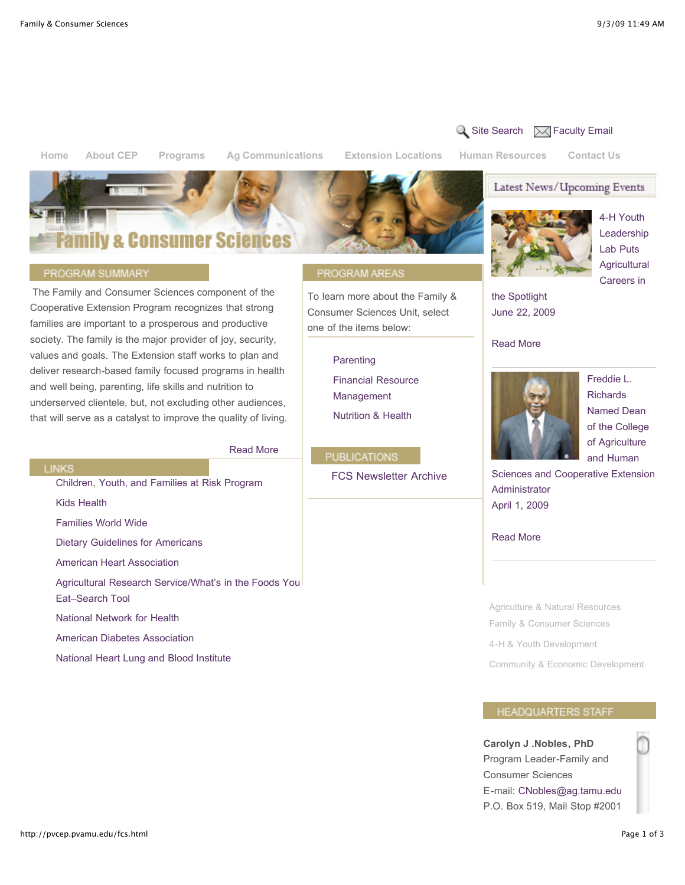**[Home](http://pvcep.pvamu.edu/index.html) About CEP Programs Ag Communications [Extension Locations](http://pvcep.pvamu.edu/map.html) Human Resources [Contact Us](http://pvcep.pvamu.edu/contact_us.html)**

# Family & Consumer Sciences

#### PROGRAM SUMMARY

 The Family and Consumer Sciences component of the Cooperative Extension Program recognizes that strong families are important to a prosperous and productive society. The family is the major provider of joy, security, values and goals. The Extension staff works to plan and deliver research-based family focused programs in health and well being, parenting, life skills and nutrition to underserved clientele, but, not excluding other audiences, that will serve as a catalyst to improve the quality of living.

## [Read More](http://pvcep.pvamu.edu/fcs_more.html)  FCS Newsletter Archive [Children, Youth, and Families at Risk Program](http://www.csrees.usda.gov/nea/family/cyfar/cyfar.html) [Kids Health](http://kidshealth.org/) [Families World Wide](http://www.fww.org/) [Dietary Guidelines for Americans](http://www.healthierus.gov/dietaryguidelines) [American Heart Association](http://www.americanheart.org/) [Agricultural Research Service/What's in the Foods You](http://www.ars.usda.gov/main/main.htm) Eat–Search Tool [National Network for Health](http://www.nnh.org/) [American Diabetes Association](http://www.diabetes.org/) [National Heart Lung and Blood Institute](http://www.nhlbi.org/)

### PROGRAM AREAS

To learn more about the Family & Consumer Sciences Unit, select one of the items below:

#### **[Parenting](http://pvcep.pvamu.edu/fcs_parenting.html)**

[Financial Resource](http://pvcep.pvamu.edu/fcs_financial.html) Management [Nutrition & Health](http://pvcep.pvamu.edu/fcs_nutrition.html)

#### **PUBLICATIONS**



 $\overline{Q}$  [Site Search](http://pvcep.pvamu.edu/?q=search/node)  $\overline{Q}$  [Faculty Email](https://pvumail.pvamu.edu/exchange)



Latest News/Upcoming Events

4-H Youth Leadership Lab Puts **Agricultural** Careers in

the Spotlight [June 22, 2009](http://pvcep.pvamu.edu/articles/article-22Jun2009.html) 

#### Read More



Freddie L. Richards Named Dean of the College of Agriculture and Human

[Sciences and Cooperative Extension](http://pvcep.pvamu.edu/articles/article-01Apr2009.html) Administrator April 1, 2009

#### Read More

[Agriculture & Natural Resources](http://pvcep.pvamu.edu/agnr.html) [Family & Consumer Sciences](http://pvcep.pvamu.edu/fcs.html) [4-H & Youth Development](http://pvcep.pvamu.edu/4-h.html) [Community & Economic Development](http://pvcep.pvamu.edu/comd.html)

#### **HEADQUARTERS STAFF**

**Carolyn J .Nobles, PhD** Program Leader-Family and Consumer Sciences E-mail: [CNobles@ag.tamu.edu](mailto:CNobles@ag.tamu.edu) P.O. Box 519, Mail Stop #2001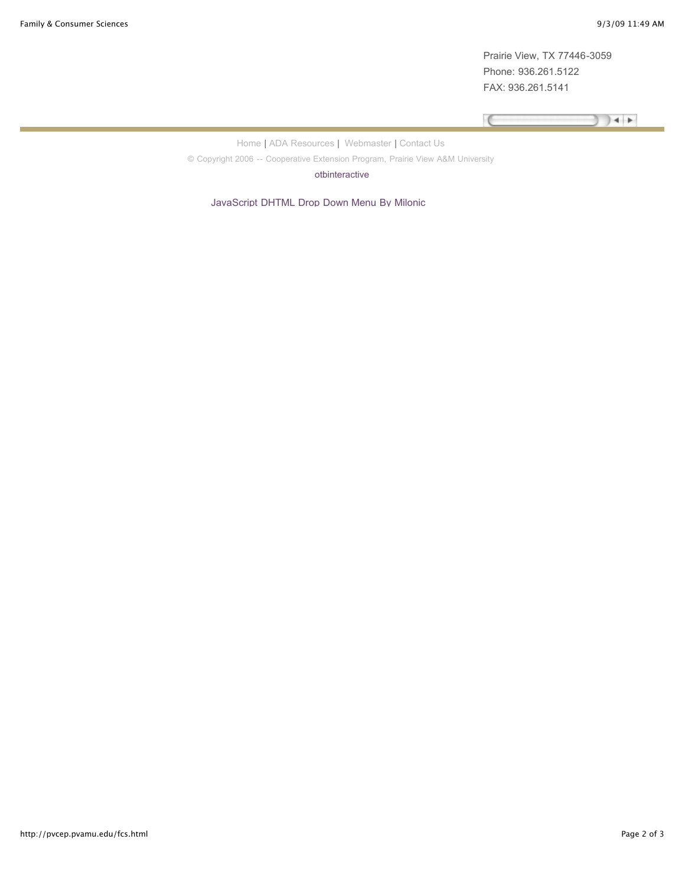Prairie View, TX 77446-3059 Phone: 936.261.5122 FAX: 936.261.5141

Program Specialist-CEP (FCS)

 $\sqrt{2}$  $+$ 

[Home](http://pvcep.pvamu.edu/) | [ADA Resources |](http://www.pvamu.edu/pages/276.asp) [Webmaster |](mailto:lssmith@pvamu.edu) [Contact Us](http://pvcep.pvamu.edu/contact_us.html)

P.O. Box 519, Mail Stop #2001 © Copyright 2006 -- Cooperative Extension Program, Prairie View A&M University

[otbinteractive](http://www.otbinteractive.com/)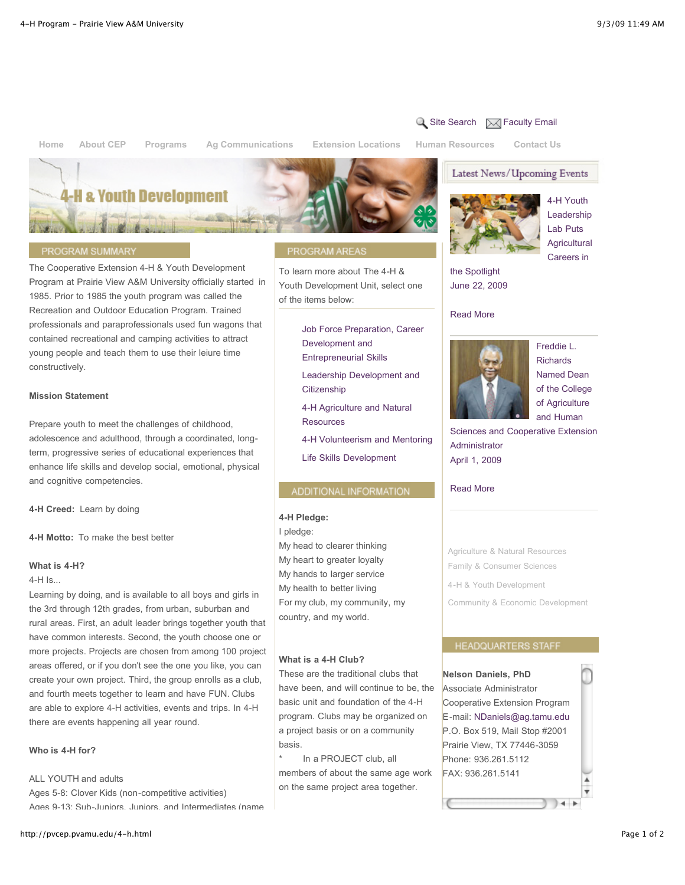## $\alpha$  [Site Search](http://pvcep.pvamu.edu/?q=search/node)  $\boxtimes$  [Faculty Email](https://pvumail.pvamu.edu/exchange)

**[Home](http://pvcep.pvamu.edu/index.html) About CEP Programs Ag Communications [Extension Locations](http://pvcep.pvamu.edu/map.html) Human Resources [Contact Us](http://pvcep.pvamu.edu/contact_us.html)**

Latest News/Upcoming Events



#### PROGRAM SUMMARY

The Cooperative Extension 4-H & Youth Development Program at Prairie View A&M University officially started in 1985. Prior to 1985 the youth program was called the Recreation and Outdoor Education Program. Trained professionals and paraprofessionals used fun wagons that contained recreational and camping activities to attract young people and teach them to use their leiure time constructively.

#### **Mission Statement**

Prepare youth to meet the challenges of childhood, adolescence and adulthood, through a coordinated, longterm, progressive series of educational experiences that enhance life skills and develop social, emotional, physical and cognitive competencies.

**4-H Creed:** Learn by doing

**4-H Motto:** To make the best better

#### **What is 4-H?**

4-H Is...

Learning by doing, and is available to all boys and girls in the 3rd through 12th grades, from urban, suburban and rural areas. First, an adult leader brings together youth that have common interests. Second, the youth choose one or more projects. Projects are chosen from among 100 project areas offered, or if you don't see the one you like, you can create your own project. Third, the group enrolls as a club, and fourth meets together to learn and have FUN. Clubs are able to explore 4-H activities, events and trips. In 4-H there are events happening all year round.

#### **Who is 4-H for?**

#### ALL YOUTH and adults

Ages 5-8: Clover Kids (non-competitive activities) Ages 9-13: Sub-Juniors, Juniors, and Intermediates (name

#### PROGRAM AREAS

To learn more about The 4-H & Youth Development Unit, select one of the items below:

> [Job Force Preparation, Career](http://pvcep.pvamu.edu/4-h-Work.html) Development and

Entrepreneurial Skills

[Leadership Development and](http://pvcep.pvamu.edu/4-h-leadership.html) **Citizenship** 

[4-H Agriculture and Natural](http://pvcep.pvamu.edu/4-H-agriculture.html) **Resources** 

[4-H Volunteerism and Mentoring](http://pvcep.pvamu.edu/4-h-volunteering.html)

[Life Skills Development](http://pvcep.pvamu.edu/4-h-life.html)

#### ADDITIONAL INFORMATION

#### **4-H Pledge:**

I pledge:

My head to clearer thinking My heart to greater loyalty My hands to larger service My health to better living For my club, my community, my country, and my world.

#### **What is a 4-H Club?**

These are the traditional clubs that have been, and will continue to be, the basic unit and foundation of the 4-H program. Clubs may be organized on a project basis or on a community basis.

In a PROJECT club, all members of about the same age work on the same project area together.



4-H Youth Leadership Lab Puts **Agricultural** Careers in

the Spotlight [June 22, 2009](http://pvcep.pvamu.edu/articles/article-22Jun2009.html) 

#### Read More



Freddie L. Richards Named Dean of the College of Agriculture and Human

[Sciences and Cooperative Extension](http://pvcep.pvamu.edu/articles/article-01Apr2009.html) Administrator April 1, 2009

#### Read More

[Agriculture & Natural Resources](http://pvcep.pvamu.edu/agnr.html) [Family & Consumer Sciences](http://pvcep.pvamu.edu/fcs.html)

[4-H & Youth Development](http://pvcep.pvamu.edu/4-h.html)

[Community & Economic Development](http://pvcep.pvamu.edu/comd.html)

#### **HEADQUARTERS STAFF**

#### **Nelson Daniels, PhD**

**Beverly A. Spears, PhD**

Associate Administrator Cooperative Extension Program E-mail: [NDaniels@ag.tamu.edu](mailto:NDaniels@ag.tamu.edu) P.O. Box 519, Mail Stop #2001 Prairie View, TX 77446-3059 Phone: 936.261.5112 FAX: 936.261.5141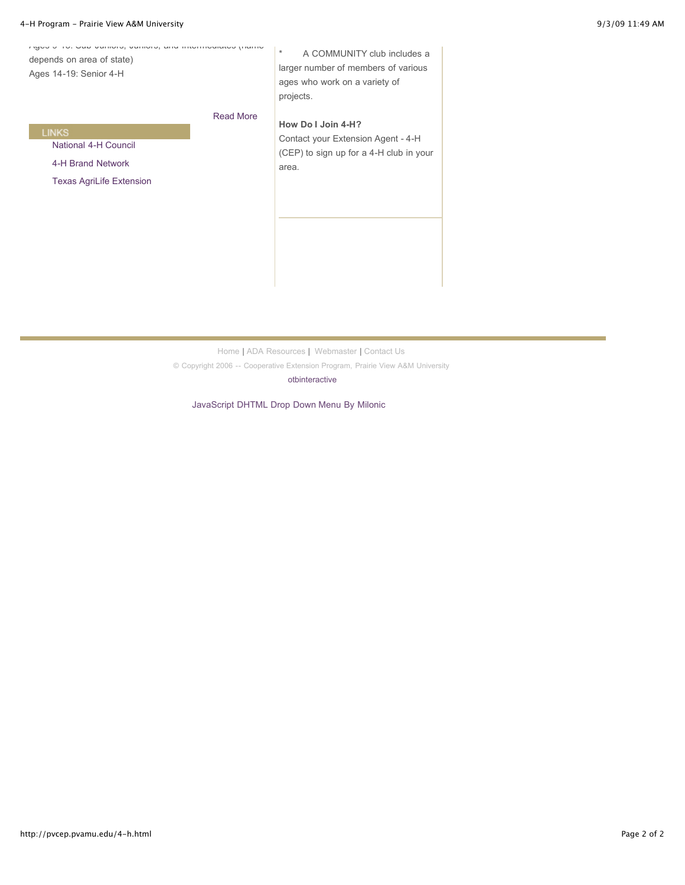| Tigue e Tu. Que cumulo, cumulo, una michitualidad pianto<br>depends on area of state)<br>Ages 14-19: Senior 4-H |                  | $\star$<br>A COMMUNITY club includes a<br>larger number of members of various<br>ages who work on a variety of<br>projects. |
|-----------------------------------------------------------------------------------------------------------------|------------------|-----------------------------------------------------------------------------------------------------------------------------|
|                                                                                                                 | <b>Read More</b> | How Do I Join 4-H?                                                                                                          |
| <b>LINKS</b>                                                                                                    |                  | Contact your Extension Agent - 4-H                                                                                          |
| National 4-H Council                                                                                            |                  | (CEP) to sign up for a 4-H club in your<br>area.                                                                            |
| 4-H Brand Network                                                                                               |                  |                                                                                                                             |
| <b>Texas AgriLife Extension</b>                                                                                 |                  |                                                                                                                             |
|                                                                                                                 |                  |                                                                                                                             |
|                                                                                                                 |                  |                                                                                                                             |
|                                                                                                                 |                  |                                                                                                                             |
|                                                                                                                 |                  |                                                                                                                             |
|                                                                                                                 |                  |                                                                                                                             |
|                                                                                                                 |                  |                                                                                                                             |
|                                                                                                                 |                  |                                                                                                                             |

[Home](http://pvcep.pvamu.edu/) | [ADA Resources](http://www.pvamu.edu/pages/276.asp) | [Webmaster |](mailto:lssmith@pvamu.edu) [Contact Us](http://pvcep.pvamu.edu/contact_us.html)

© Copyright 2006 -- Cooperative Extension Program, Prairie View A&M University

[otbinteractive](http://www.otbinteractive.com/)